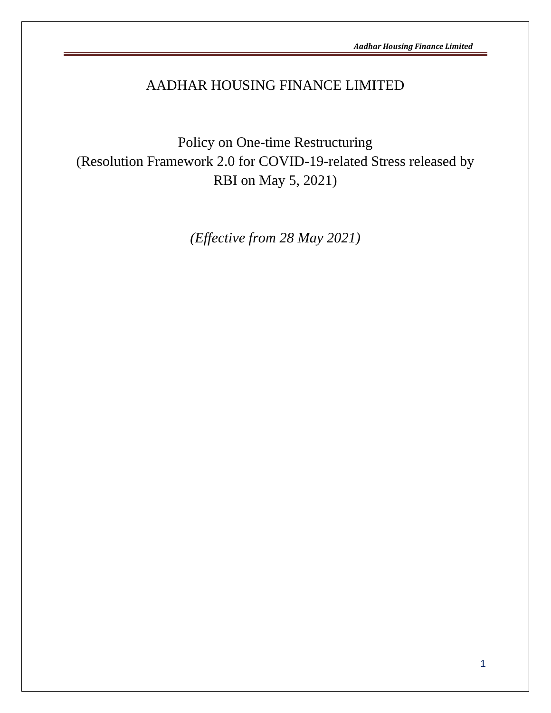# AADHAR HOUSING FINANCE LIMITED

Policy on One-time Restructuring (Resolution Framework 2.0 for COVID-19-related Stress released by RBI on May 5, 2021)

*(Effective from 28 May 2021)*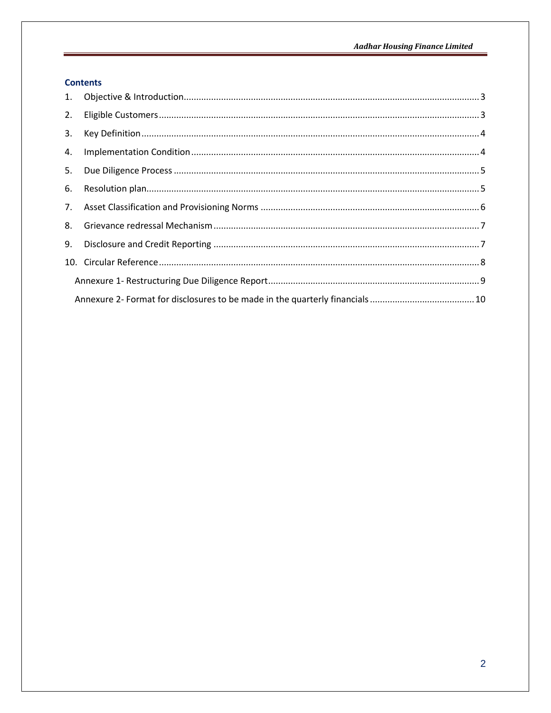# **Contents**

| 2. |  |  |  |  |  |  |
|----|--|--|--|--|--|--|
| 3. |  |  |  |  |  |  |
| 4. |  |  |  |  |  |  |
| 5. |  |  |  |  |  |  |
| 6. |  |  |  |  |  |  |
| 7. |  |  |  |  |  |  |
| 8. |  |  |  |  |  |  |
| 9. |  |  |  |  |  |  |
|    |  |  |  |  |  |  |
|    |  |  |  |  |  |  |
|    |  |  |  |  |  |  |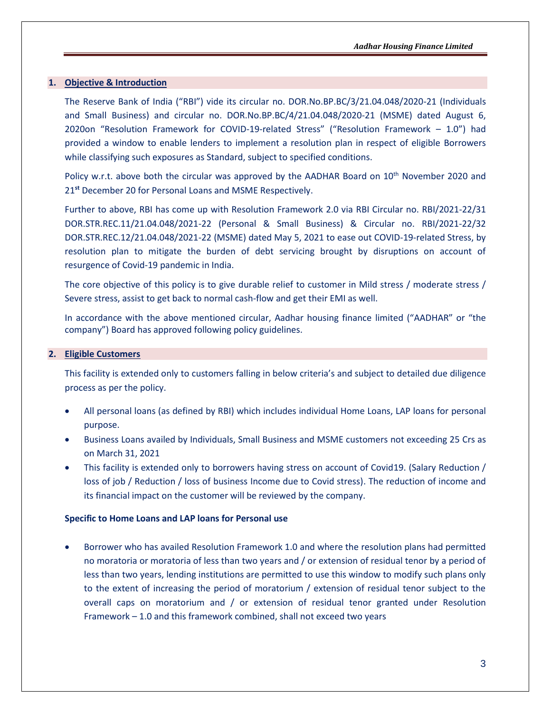#### <span id="page-2-0"></span>**1. Objective & Introduction**

The Reserve Bank of India ("RBI") vide its circular no. DOR.No.BP.BC/3/21.04.048/2020-21 (Individuals and Small Business) and circular no. DOR.No.BP.BC/4/21.04.048/2020-21 (MSME) dated August 6, 2020on "Resolution Framework for COVID-19-related Stress" ("Resolution Framework – 1.0") had provided a window to enable lenders to implement a resolution plan in respect of eligible Borrowers while classifying such exposures as Standard, subject to specified conditions.

Policy w.r.t. above both the circular was approved by the AADHAR Board on 10<sup>th</sup> November 2020 and 21**st** December 20 for Personal Loans and MSME Respectively.

Further to above, RBI has come up with Resolution Framework 2.0 via RBI Circular no. RBI/2021-22/31 DOR.STR.REC.11/21.04.048/2021-22 (Personal & Small Business) & Circular no. RBI/2021-22/32 DOR.STR.REC.12/21.04.048/2021-22 (MSME) dated May 5, 2021 to ease out COVID-19-related Stress, by resolution plan to mitigate the burden of debt servicing brought by disruptions on account of resurgence of Covid-19 pandemic in India.

The core objective of this policy is to give durable relief to customer in Mild stress / moderate stress / Severe stress, assist to get back to normal cash-flow and get their EMI as well.

In accordance with the above mentioned circular, Aadhar housing finance limited ("AADHAR" or "the company") Board has approved following policy guidelines.

#### <span id="page-2-1"></span>**2. Eligible Customers**

This facility is extended only to customers falling in below criteria's and subject to detailed due diligence process as per the policy.

- All personal loans (as defined by RBI) which includes individual Home Loans, LAP loans for personal purpose.
- Business Loans availed by Individuals, Small Business and MSME customers not exceeding 25 Crs as on March 31, 2021
- This facility is extended only to borrowers having stress on account of Covid19. (Salary Reduction / loss of job / Reduction / loss of business Income due to Covid stress). The reduction of income and its financial impact on the customer will be reviewed by the company.

#### **Specific to Home Loans and LAP loans for Personal use**

• Borrower who has availed Resolution Framework 1.0 and where the resolution plans had permitted no moratoria or moratoria of less than two years and / or extension of residual tenor by a period of less than two years, lending institutions are permitted to use this window to modify such plans only to the extent of increasing the period of moratorium / extension of residual tenor subject to the overall caps on moratorium and / or extension of residual tenor granted under Resolution Framework – 1.0 and this framework combined, shall not exceed two years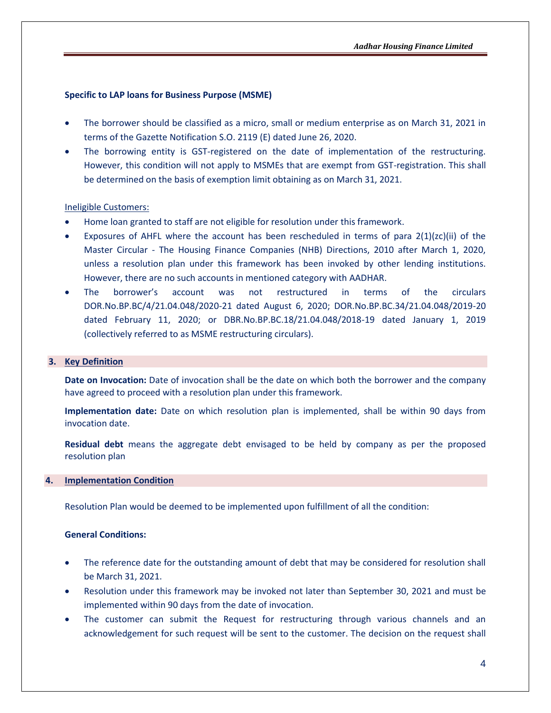#### **Specific to LAP loans for Business Purpose (MSME)**

- The borrower should be classified as a micro, small or medium enterprise as on March 31, 2021 in terms of the Gazette Notification S.O. 2119 (E) dated June 26, 2020.
- The borrowing entity is GST-registered on the date of implementation of the restructuring. However, this condition will not apply to MSMEs that are exempt from GST-registration. This shall be determined on the basis of exemption limit obtaining as on March 31, 2021.

#### Ineligible Customers:

- Home loan granted to staff are not eligible for resolution under this framework.
- Exposures of AHFL where the account has been rescheduled in terms of para  $2(1)(zc)(ii)$  of the Master Circular - The Housing Finance Companies (NHB) Directions, 2010 after March 1, 2020, unless a resolution plan under this framework has been invoked by other lending institutions. However, there are no such accounts in mentioned category with AADHAR.
- The borrower's account was not restructured in terms of the circulars DOR.No.BP.BC/4/21.04.048/2020-21 dated August 6, 2020; DOR.No.BP.BC.34/21.04.048/2019-20 dated February 11, 2020; or DBR.No.BP.BC.18/21.04.048/2018-19 dated January 1, 2019 (collectively referred to as MSME restructuring circulars).

#### <span id="page-3-0"></span>**3. Key Definition**

**Date on Invocation:** Date of invocation shall be the date on which both the borrower and the company have agreed to proceed with a resolution plan under this framework.

**Implementation date:** Date on which resolution plan is implemented, shall be within 90 days from invocation date.

**Residual debt** means the aggregate debt envisaged to be held by company as per the proposed resolution plan

#### <span id="page-3-1"></span>**4. Implementation Condition**

Resolution Plan would be deemed to be implemented upon fulfillment of all the condition:

## **General Conditions:**

- The reference date for the outstanding amount of debt that may be considered for resolution shall be March 31, 2021.
- Resolution under this framework may be invoked not later than September 30, 2021 and must be implemented within 90 days from the date of invocation.
- The customer can submit the Request for restructuring through various channels and an acknowledgement for such request will be sent to the customer. The decision on the request shall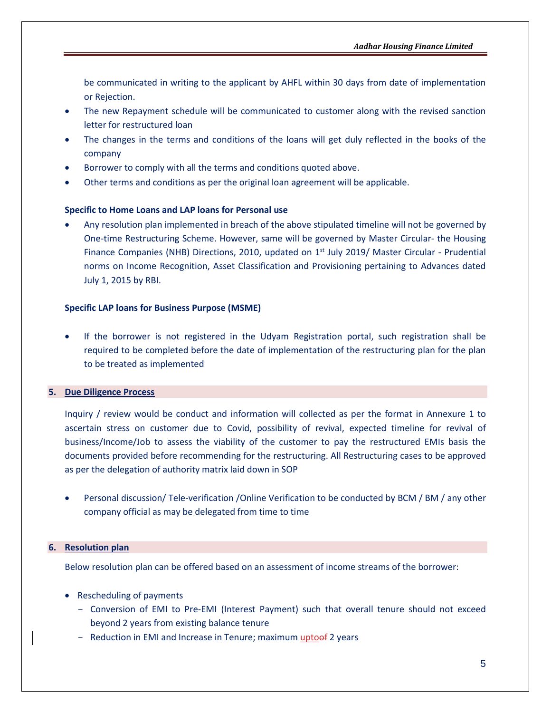be communicated in writing to the applicant by AHFL within 30 days from date of implementation or Rejection.

- The new Repayment schedule will be communicated to customer along with the revised sanction letter for restructured loan
- The changes in the terms and conditions of the loans will get duly reflected in the books of the company
- Borrower to comply with all the terms and conditions quoted above.
- Other terms and conditions as per the original loan agreement will be applicable.

#### **Specific to Home Loans and LAP loans for Personal use**

• Any resolution plan implemented in breach of the above stipulated timeline will not be governed by One-time Restructuring Scheme. However, same will be governed by Master Circular- the Housing Finance Companies (NHB) Directions, 2010, updated on 1<sup>st</sup> July 2019/ Master Circular - Prudential norms on Income Recognition, Asset Classification and Provisioning pertaining to Advances dated July 1, 2015 by RBI.

#### **Specific LAP loans for Business Purpose (MSME)**

• If the borrower is not registered in the Udyam Registration portal, such registration shall be required to be completed before the date of implementation of the restructuring plan for the plan to be treated as implemented

### <span id="page-4-0"></span>**5. Due Diligence Process**

Inquiry / review would be conduct and information will collected as per the format in Annexure 1 to ascertain stress on customer due to Covid, possibility of revival, expected timeline for revival of business/Income/Job to assess the viability of the customer to pay the restructured EMIs basis the documents provided before recommending for the restructuring. All Restructuring cases to be approved as per the delegation of authority matrix laid down in SOP

• Personal discussion/ Tele-verification /Online Verification to be conducted by BCM / BM / any other company official as may be delegated from time to time

#### <span id="page-4-1"></span>**6. Resolution plan**

Below resolution plan can be offered based on an assessment of income streams of the borrower:

- Rescheduling of payments
	- Conversion of EMI to Pre-EMI (Interest Payment) such that overall tenure should not exceed beyond 2 years from existing balance tenure
	- Reduction in EMI and Increase in Tenure; maximum uptoof 2 years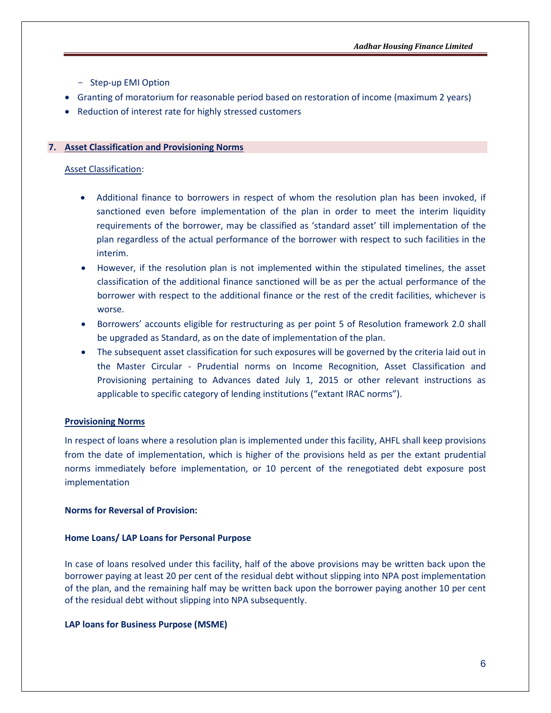- Step-up EMI Option
- Granting of moratorium for reasonable period based on restoration of income (maximum 2 years)
- <span id="page-5-0"></span>• Reduction of interest rate for highly stressed customers

#### **7. Asset Classification and Provisioning Norms**

#### Asset Classification:

- Additional finance to borrowers in respect of whom the resolution plan has been invoked, if sanctioned even before implementation of the plan in order to meet the interim liquidity requirements of the borrower, may be classified as 'standard asset' till implementation of the plan regardless of the actual performance of the borrower with respect to such facilities in the interim.
- However, if the resolution plan is not implemented within the stipulated timelines, the asset classification of the additional finance sanctioned will be as per the actual performance of the borrower with respect to the additional finance or the rest of the credit facilities, whichever is worse.
- Borrowers' accounts eligible for restructuring as per point 5 of Resolution framework 2.0 shall be upgraded as Standard, as on the date of implementation of the plan.
- The subsequent asset classification for such exposures will be governed by the criteria laid out in the Master Circular - Prudential norms on Income Recognition, Asset Classification and Provisioning pertaining to Advances dated July 1, 2015 or other relevant instructions as applicable to specific category of lending institutions ("extant IRAC norms").

#### **Provisioning Norms**

In respect of loans where a resolution plan is implemented under this facility, AHFL shall keep provisions from the date of implementation, which is higher of the provisions held as per the extant prudential norms immediately before implementation, or 10 percent of the renegotiated debt exposure post implementation

#### **Norms for Reversal of Provision:**

#### **Home Loans/ LAP Loans for Personal Purpose**

In case of loans resolved under this facility, half of the above provisions may be written back upon the borrower paying at least 20 per cent of the residual debt without slipping into NPA post implementation of the plan, and the remaining half may be written back upon the borrower paying another 10 per cent of the residual debt without slipping into NPA subsequently.

#### **LAP loans for Business Purpose (MSME)**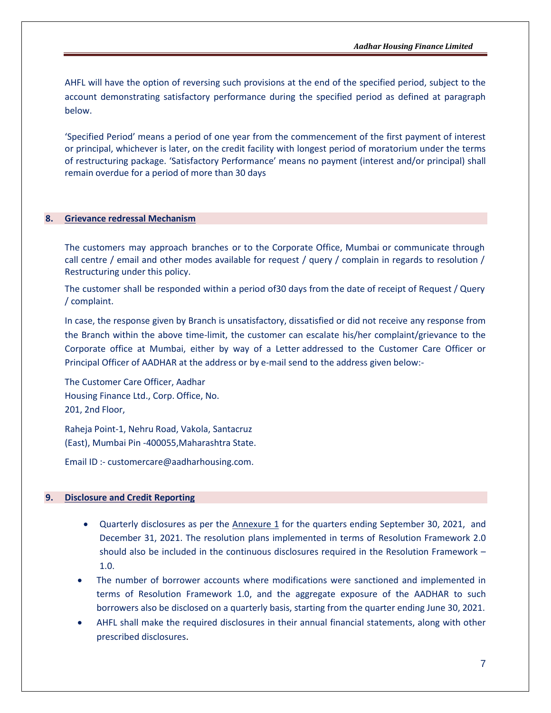AHFL will have the option of reversing such provisions at the end of the specified period, subject to the account demonstrating satisfactory performance during the specified period as defined at paragraph below.

'Specified Period' means a period of one year from the commencement of the first payment of interest or principal, whichever is later, on the credit facility with longest period of moratorium under the terms of restructuring package. 'Satisfactory Performance' means no payment (interest and/or principal) shall remain overdue for a period of more than 30 days

#### <span id="page-6-0"></span>**8. Grievance redressal Mechanism**

The customers may approach branches or to the Corporate Office, Mumbai or communicate through call centre / email and other modes available for request / query / complain in regards to resolution / Restructuring under this policy.

The customer shall be responded within a period of30 days from the date of receipt of Request / Query / complaint.

In case, the response given by Branch is unsatisfactory, dissatisfied or did not receive any response from the Branch within the above time-limit, the customer can escalate his/her complaint/grievance to the Corporate office at Mumbai, either by way of a Letter addressed to the Customer Care Officer or Principal Officer of AADHAR at the address or by e-mail send to the address given below:-

The Customer Care Officer, Aadhar Housing Finance Ltd., Corp. Office, No. 201, 2nd Floor,

Raheja Point-1, Nehru Road, Vakola, Santacruz (East), Mumbai Pin -400055,Maharashtra State.

<span id="page-6-1"></span>Email ID :- [customercare@aadharhousing.com.](mailto:customercare@aadharhousing.com)

#### **9. Disclosure and Credit Reporting**

- Quarterly disclosures as per the Annexure 1 for the quarters ending September 30, 2021, and December 31, 2021. The resolution plans implemented in terms of Resolution Framework 2.0 should also be included in the continuous disclosures required in the Resolution Framework – 1.0.
- The number of borrower accounts where modifications were sanctioned and implemented in terms of Resolution Framework 1.0, and the aggregate exposure of the AADHAR to such borrowers also be disclosed on a quarterly basis, starting from the quarter ending June 30, 2021.
- AHFL shall make the required disclosures in their annual financial statements, along with other prescribed disclosures.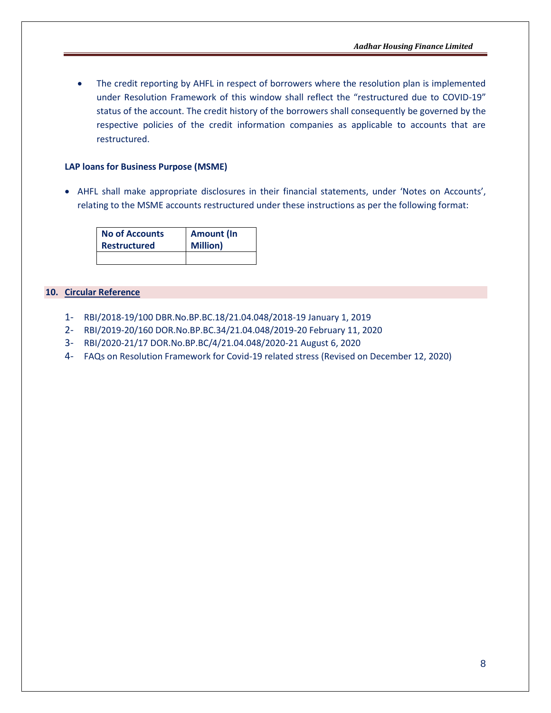The credit reporting by AHFL in respect of borrowers where the resolution plan is implemented under Resolution Framework of this window shall reflect the "restructured due to COVID-19" status of the account. The credit history of the borrowers shall consequently be governed by the respective policies of the credit information companies as applicable to accounts that are restructured.

#### **LAP loans for Business Purpose (MSME)**

• AHFL shall make appropriate disclosures in their financial statements, under 'Notes on Accounts', relating to the MSME accounts restructured under these instructions as per the following format:

| <b>No of Accounts</b> | <b>Amount (In</b> |
|-----------------------|-------------------|
| <b>Restructured</b>   | <b>Million</b> )  |
|                       |                   |

### <span id="page-7-0"></span>**10. Circular Reference**

- 1- RBI/2018-19/100 DBR.No.BP.BC.18/21.04.048/2018-19 January 1, 2019
- 2- RBI/2019-20/160 DOR.No.BP.BC.34/21.04.048/2019-20 February 11, 2020
- 3- RBI/2020-21/17 DOR.No.BP.BC/4/21.04.048/2020-21 August 6, 2020
- 4- FAQs on Resolution Framework for Covid-19 related stress (Revised on December 12, 2020)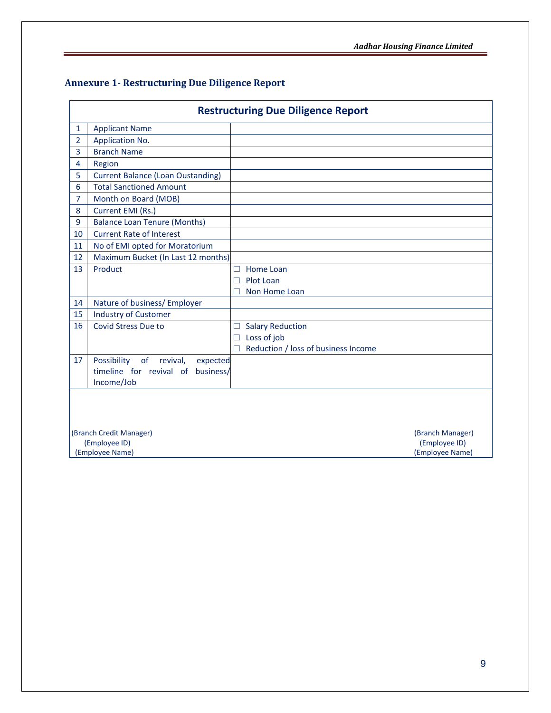# <span id="page-8-0"></span>**Annexure 1- Restructuring Due Diligence Report**

| <b>Restructuring Due Diligence Report</b> |                                          |                                            |                  |  |  |  |  |
|-------------------------------------------|------------------------------------------|--------------------------------------------|------------------|--|--|--|--|
| $\mathbf{1}$                              | <b>Applicant Name</b>                    |                                            |                  |  |  |  |  |
| $\overline{2}$                            | Application No.                          |                                            |                  |  |  |  |  |
| 3                                         | <b>Branch Name</b>                       |                                            |                  |  |  |  |  |
| 4                                         | Region                                   |                                            |                  |  |  |  |  |
| 5                                         | <b>Current Balance (Loan Oustanding)</b> |                                            |                  |  |  |  |  |
| 6                                         | <b>Total Sanctioned Amount</b>           |                                            |                  |  |  |  |  |
| 7                                         | Month on Board (MOB)                     |                                            |                  |  |  |  |  |
| 8                                         | Current EMI (Rs.)                        |                                            |                  |  |  |  |  |
| 9                                         | <b>Balance Loan Tenure (Months)</b>      |                                            |                  |  |  |  |  |
| 10                                        | <b>Current Rate of Interest</b>          |                                            |                  |  |  |  |  |
| 11                                        | No of EMI opted for Moratorium           |                                            |                  |  |  |  |  |
| 12                                        | Maximum Bucket (In Last 12 months)       |                                            |                  |  |  |  |  |
| 13                                        | Product                                  | $\Box$ Home Loan                           |                  |  |  |  |  |
|                                           |                                          | Plot Loan<br>П                             |                  |  |  |  |  |
|                                           |                                          | Non Home Loan                              |                  |  |  |  |  |
| 14                                        | Nature of business/ Employer             |                                            |                  |  |  |  |  |
| 15                                        | <b>Industry of Customer</b>              |                                            |                  |  |  |  |  |
| 16                                        | Covid Stress Due to                      | <b>Salary Reduction</b><br>⊔               |                  |  |  |  |  |
|                                           |                                          | Loss of job<br>$\Box$                      |                  |  |  |  |  |
|                                           |                                          | $\Box$ Reduction / loss of business Income |                  |  |  |  |  |
| 17                                        | Possibility<br>of revival,<br>expected   |                                            |                  |  |  |  |  |
|                                           | timeline for revival of<br>business/     |                                            |                  |  |  |  |  |
|                                           | Income/Job                               |                                            |                  |  |  |  |  |
|                                           |                                          |                                            |                  |  |  |  |  |
|                                           |                                          |                                            |                  |  |  |  |  |
|                                           |                                          |                                            |                  |  |  |  |  |
|                                           | (Branch Credit Manager)                  |                                            | (Branch Manager) |  |  |  |  |
| (Employee ID)<br>(Employee ID)            |                                          |                                            |                  |  |  |  |  |
|                                           | (Employee Name)<br>(Employee Name)       |                                            |                  |  |  |  |  |